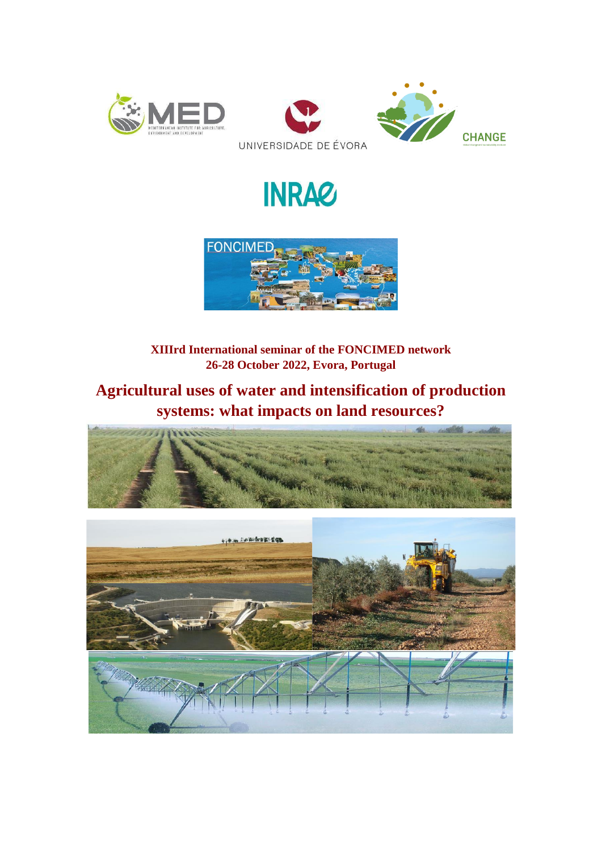

# **INRAC**



**XIIIrd International seminar of the FONCIMED network 26-28 October 2022, Evora, Portugal**

# **Agricultural uses of water and intensification of production systems: what impacts on land resources?**



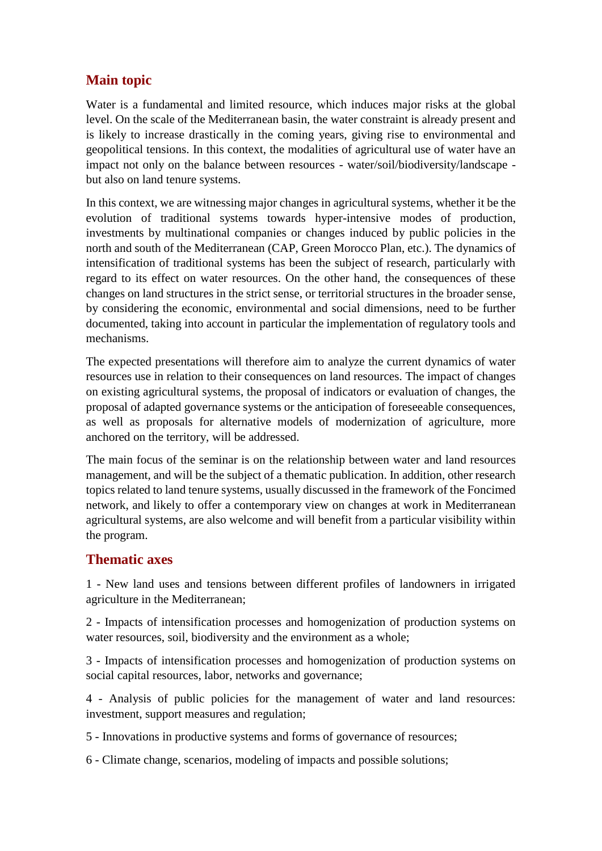# **Main topic**

Water is a fundamental and limited resource, which induces major risks at the global level. On the scale of the Mediterranean basin, the water constraint is already present and is likely to increase drastically in the coming years, giving rise to environmental and geopolitical tensions. In this context, the modalities of agricultural use of water have an impact not only on the balance between resources - water/soil/biodiversity/landscape but also on land tenure systems.

In this context, we are witnessing major changes in agricultural systems, whether it be the evolution of traditional systems towards hyper-intensive modes of production, investments by multinational companies or changes induced by public policies in the north and south of the Mediterranean (CAP, Green Morocco Plan, etc.). The dynamics of intensification of traditional systems has been the subject of research, particularly with regard to its effect on water resources. On the other hand, the consequences of these changes on land structures in the strict sense, or territorial structures in the broader sense, by considering the economic, environmental and social dimensions, need to be further documented, taking into account in particular the implementation of regulatory tools and mechanisms.

The expected presentations will therefore aim to analyze the current dynamics of water resources use in relation to their consequences on land resources. The impact of changes on existing agricultural systems, the proposal of indicators or evaluation of changes, the proposal of adapted governance systems or the anticipation of foreseeable consequences, as well as proposals for alternative models of modernization of agriculture, more anchored on the territory, will be addressed.

The main focus of the seminar is on the relationship between water and land resources management, and will be the subject of a thematic publication. In addition, other research topics related to land tenure systems, usually discussed in the framework of the Foncimed network, and likely to offer a contemporary view on changes at work in Mediterranean agricultural systems, are also welcome and will benefit from a particular visibility within the program.

#### **Thematic axes**

1 - New land uses and tensions between different profiles of landowners in irrigated agriculture in the Mediterranean;

2 - Impacts of intensification processes and homogenization of production systems on water resources, soil, biodiversity and the environment as a whole;

3 - Impacts of intensification processes and homogenization of production systems on social capital resources, labor, networks and governance;

4 - Analysis of public policies for the management of water and land resources: investment, support measures and regulation;

5 - Innovations in productive systems and forms of governance of resources;

6 - Climate change, scenarios, modeling of impacts and possible solutions;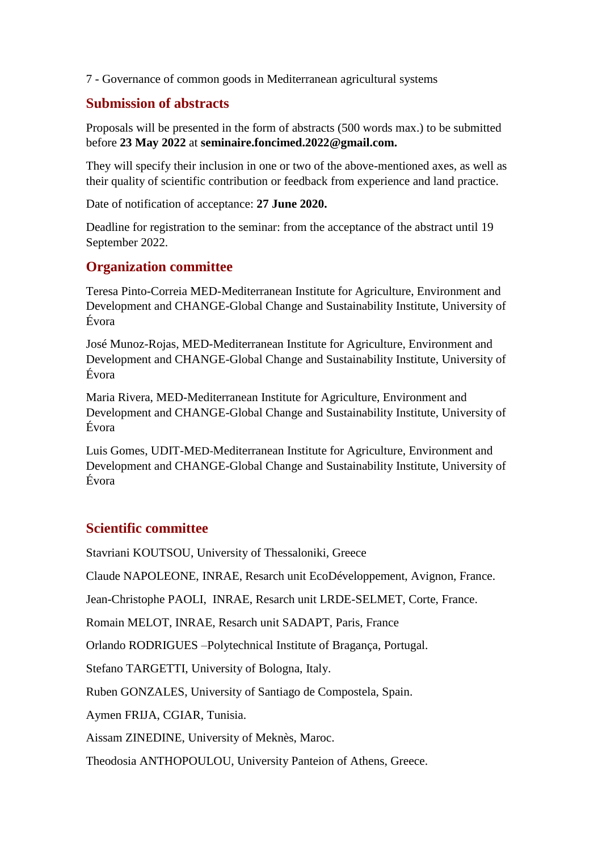7 - Governance of common goods in Mediterranean agricultural systems

## **Submission of abstracts**

Proposals will be presented in the form of abstracts (500 words max.) to be submitted before **23 May 2022** at **seminaire.foncimed.2022@gmail.com.**

They will specify their inclusion in one or two of the above-mentioned axes, as well as their quality of scientific contribution or feedback from experience and land practice.

Date of notification of acceptance: **27 June 2020.**

Deadline for registration to the seminar: from the acceptance of the abstract until 19 September 2022.

#### **Organization committee**

Teresa Pinto-Correia MED-Mediterranean Institute for Agriculture, Environment and Development and CHANGE-Global Change and Sustainability Institute, University of Évora

José Munoz-Rojas, MED-Mediterranean Institute for Agriculture, Environment and Development and CHANGE-Global Change and Sustainability Institute, University of Évora

Maria Rivera, MED-Mediterranean Institute for Agriculture, Environment and Development and CHANGE-Global Change and Sustainability Institute, University of Évora

Luis Gomes, UDIT-MED-Mediterranean Institute for Agriculture, Environment and Development and CHANGE-Global Change and Sustainability Institute, University of Évora

## **Scientific committee**

Stavriani KOUTSOU, University of Thessaloniki, Greece

Claude NAPOLEONE, INRAE, Resarch unit EcoDéveloppement, Avignon, France.

Jean-Christophe PAOLI, INRAE, Resarch unit LRDE-SELMET, Corte, France.

Romain MELOT, INRAE, Resarch unit SADAPT, Paris, France

Orlando RODRIGUES –Polytechnical Institute of Bragança, Portugal.

Stefano TARGETTI, University of Bologna, Italy.

Ruben GONZALES, University of Santiago de Compostela, Spain.

Aymen FRIJA, CGIAR, Tunisia.

Aissam ZINEDINE, University of Meknès, Maroc.

Theodosia ANTHOPOULOU, University Panteion of Athens, Greece.